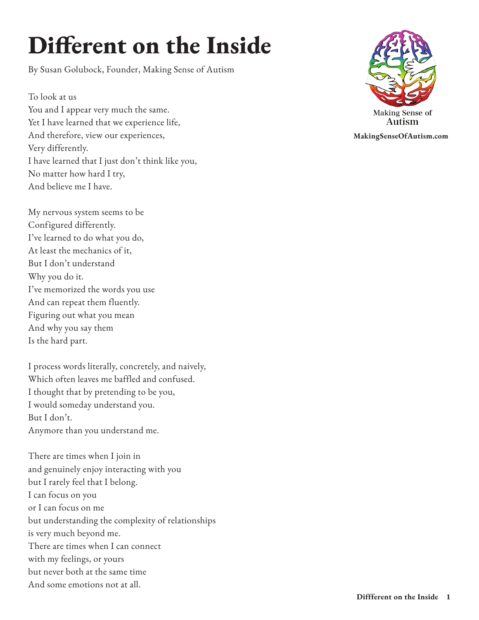## **Different on the Inside**

By Susan Golubock, Founder, Making Sense of Autism

To look at us You and I appear very much the same. Yet I have learned that we experience life, And therefore, view our experiences, Very differently. I have learned that I just don't think like you, No matter how hard I try, And believe me I have.

My nervous system seems to be Configured differently. I've learned to do what you do, At least the mechanics of it, But I don't understand Why you do it. I've memorized the words you use And can repeat them fluently. Figuring out what you mean And why you say them Is the hard part.

I process words literally, concretely, and naively, Which often leaves me baffled and confused. I thought that by pretending to be you, I would someday understand you. But I don't. Anymore than you understand me.

There are times when I join in and genuinely enjoy interacting with you but I rarely feel that I belong. I can focus on you or I can focus on me but understanding the complexity of relationships is very much beyond me. There are times when I can connect with my feelings, or yours but never both at the same time And some emotions not at all.

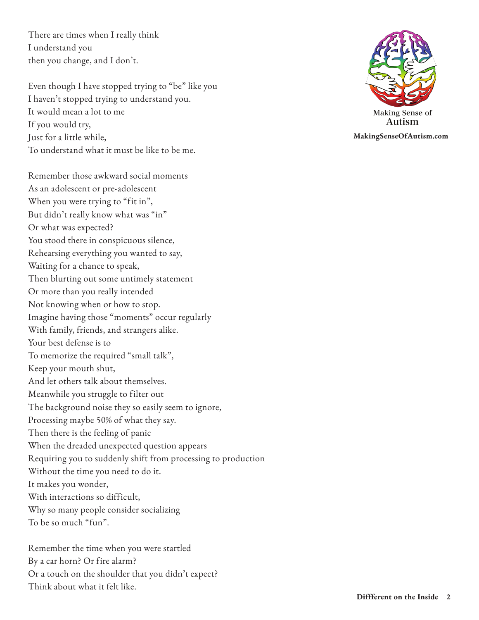There are times when I really think I understand you then you change, and I don't.

Even though I have stopped trying to "be" like you I haven't stopped trying to understand you. It would mean a lot to me If you would try, Just for a little while, To understand what it must be like to be me.

Remember those awkward social moments As an adolescent or pre-adolescent When you were trying to "fit in", But didn't really know what was "in" Or what was expected? You stood there in conspicuous silence, Rehearsing everything you wanted to say, Waiting for a chance to speak, Then blurting out some untimely statement Or more than you really intended Not knowing when or how to stop. Imagine having those "moments" occur regularly With family, friends, and strangers alike. Your best defense is to To memorize the required "small talk", Keep your mouth shut, And let others talk about themselves. Meanwhile you struggle to filter out The background noise they so easily seem to ignore, Processing maybe 50% of what they say. Then there is the feeling of panic When the dreaded unexpected question appears Requiring you to suddenly shift from processing to production Without the time you need to do it. It makes you wonder, With interactions so difficult, Why so many people consider socializing To be so much "fun".

Remember the time when you were startled By a car horn? Or fire alarm? Or a touch on the shoulder that you didn't expect? Think about what it felt like.

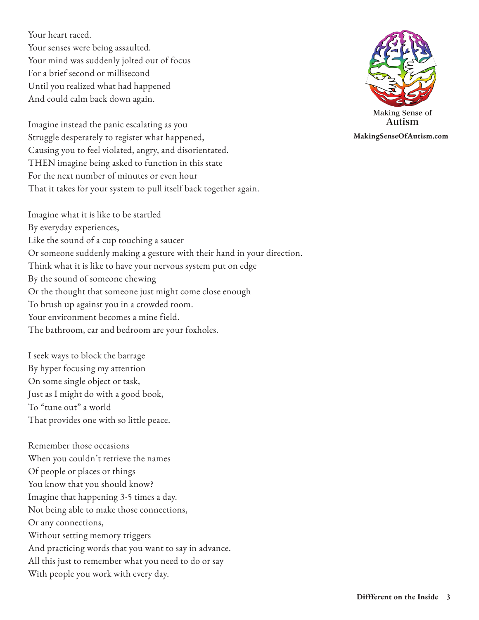Your heart raced. Your senses were being assaulted. Your mind was suddenly jolted out of focus For a brief second or millisecond Until you realized what had happened And could calm back down again.

Imagine instead the panic escalating as you Struggle desperately to register what happened, Causing you to feel violated, angry, and disorientated. THEN imagine being asked to function in this state For the next number of minutes or even hour That it takes for your system to pull itself back together again.

Imagine what it is like to be startled By everyday experiences, Like the sound of a cup touching a saucer Or someone suddenly making a gesture with their hand in your direction. Think what it is like to have your nervous system put on edge By the sound of someone chewing Or the thought that someone just might come close enough To brush up against you in a crowded room. Your environment becomes a mine field. The bathroom, car and bedroom are your foxholes.

I seek ways to block the barrage By hyper focusing my attention On some single object or task, Just as I might do with a good book, To "tune out" a world That provides one with so little peace.

Remember those occasions When you couldn't retrieve the names Of people or places or things You know that you should know? Imagine that happening 3-5 times a day. Not being able to make those connections, Or any connections, Without setting memory triggers And practicing words that you want to say in advance. All this just to remember what you need to do or say With people you work with every day.

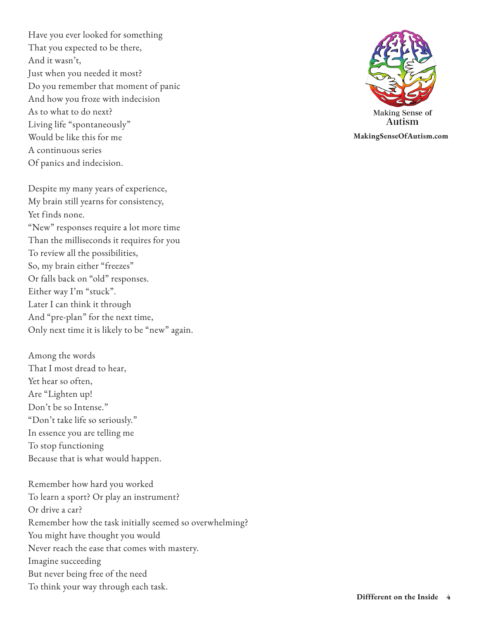Have you ever looked for something That you expected to be there, And it wasn't, Just when you needed it most? Do you remember that moment of panic And how you froze with indecision As to what to do next? Living life "spontaneously" Would be like this for me A continuous series Of panics and indecision.

Despite my many years of experience, My brain still yearns for consistency, Yet finds none. "New" responses require a lot more time Than the milliseconds it requires for you To review all the possibilities, So, my brain either "freezes" Or falls back on "old" responses. Either way I'm "stuck". Later I can think it through And "pre-plan" for the next time, Only next time it is likely to be "new" again.

Among the words That I most dread to hear, Yet hear so often, Are "Lighten up! Don't be so Intense." "Don't take life so seriously." In essence you are telling me To stop functioning Because that is what would happen.

Remember how hard you worked To learn a sport? Or play an instrument? Or drive a car? Remember how the task initially seemed so overwhelming? You might have thought you would Never reach the ease that comes with mastery. Imagine succeeding But never being free of the need To think your way through each task.

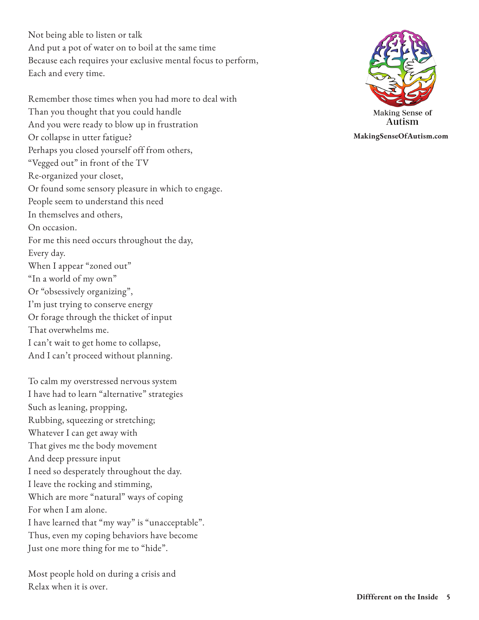Not being able to listen or talk And put a pot of water on to boil at the same time Because each requires your exclusive mental focus to perform, Each and every time.

Remember those times when you had more to deal with Than you thought that you could handle And you were ready to blow up in frustration Or collapse in utter fatigue? Perhaps you closed yourself off from others, "Vegged out" in front of the TV Re-organized your closet, Or found some sensory pleasure in which to engage. People seem to understand this need In themselves and others, On occasion. For me this need occurs throughout the day, Every day. When I appear "zoned out" "In a world of my own" Or "obsessively organizing", I'm just trying to conserve energy Or forage through the thicket of input That overwhelms me. I can't wait to get home to collapse, And I can't proceed without planning.

To calm my overstressed nervous system I have had to learn "alternative" strategies Such as leaning, propping, Rubbing, squeezing or stretching; Whatever I can get away with That gives me the body movement And deep pressure input I need so desperately throughout the day. I leave the rocking and stimming, Which are more "natural" ways of coping For when I am alone. I have learned that "my way" is "unacceptable". Thus, even my coping behaviors have become Just one more thing for me to "hide".

Most people hold on during a crisis and Relax when it is over.

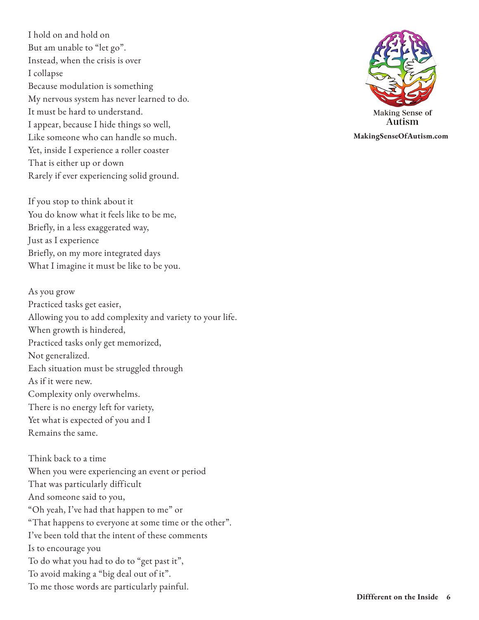I hold on and hold on But am unable to "let go". Instead, when the crisis is over I collapse Because modulation is something My nervous system has never learned to do. It must be hard to understand. I appear, because I hide things so well, Like someone who can handle so much. Yet, inside I experience a roller coaster That is either up or down Rarely if ever experiencing solid ground.

If you stop to think about it You do know what it feels like to be me, Briefly, in a less exaggerated way, Just as I experience Briefly, on my more integrated days What I imagine it must be like to be you.

As you grow Practiced tasks get easier, Allowing you to add complexity and variety to your life. When growth is hindered, Practiced tasks only get memorized, Not generalized. Each situation must be struggled through As if it were new. Complexity only overwhelms. There is no energy left for variety, Yet what is expected of you and I Remains the same.

Think back to a time When you were experiencing an event or period That was particularly difficult And someone said to you, "Oh yeah, I've had that happen to me" or "That happens to everyone at some time or the other". I've been told that the intent of these comments Is to encourage you To do what you had to do to "get past it", To avoid making a "big deal out of it". To me those words are particularly painful.

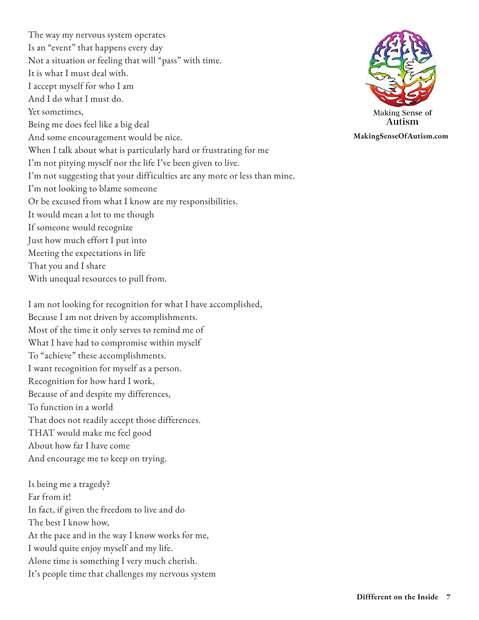The way my nervous system operates Is an "event" that happens every day Not a situation or feeling that will "pass" with time. It is what I must deal with. I accept myself for who I am And I do what I must do. Yet sometimes, Being me does feel like a big deal And some encouragement would be nice. When I talk about what is particularly hard or frustrating for me I'm not pitying myself nor the life I've been given to live. I'm not suggesting that your difficulties are any more or less than mine. I'm not looking to blame someone Or be excused from what I know are my responsibilities. It would mean a lot to me though If someone would recognize Just how much effort I put into Meeting the expectations in life That you and I share With unequal resources to pull from.

I am not looking for recognition for what I have accomplished, Because I am not driven by accomplishments. Most of the time it only serves to remind me of What I have had to compromise within myself To "achieve" these accomplishments. I want recognition for myself as a person. Recognition for how hard I work, Because of and despite my differences, To function in a world That does not readily accept those differences. THAT would make me feel good About how far I have come And encourage me to keep on trying.

Is being me a tragedy? Far from it! In fact, if given the freedom to live and do The best I know how, At the pace and in the way I know works for me, I would quite enjoy myself and my life. Alone time is something I very much cherish. It's people time that challenges my nervous system

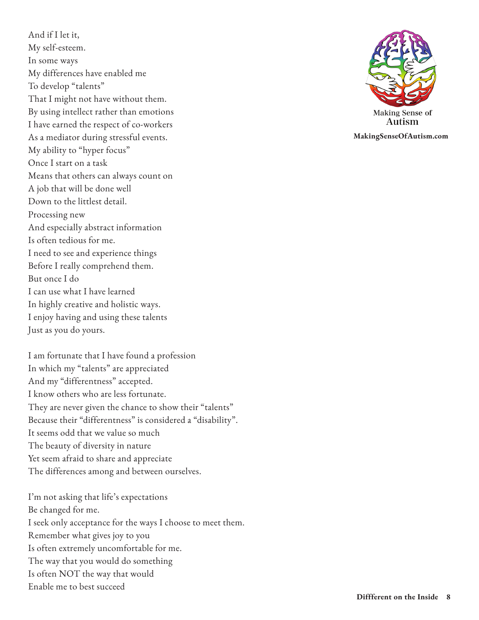And if I let it, My self-esteem. In some ways My differences have enabled me To develop "talents" That I might not have without them. By using intellect rather than emotions I have earned the respect of co-workers As a mediator during stressful events. My ability to "hyper focus" Once I start on a task Means that others can always count on A job that will be done well Down to the littlest detail. Processing new And especially abstract information Is often tedious for me. I need to see and experience things Before I really comprehend them. But once I do I can use what I have learned In highly creative and holistic ways. I enjoy having and using these talents Just as you do yours.

I am fortunate that I have found a profession In which my "talents" are appreciated And my "differentness" accepted. I know others who are less fortunate. They are never given the chance to show their "talents" Because their "differentness" is considered a "disability". It seems odd that we value so much The beauty of diversity in nature Yet seem afraid to share and appreciate The differences among and between ourselves.

I'm not asking that life's expectations Be changed for me. I seek only acceptance for the ways I choose to meet them. Remember what gives joy to you Is often extremely uncomfortable for me. The way that you would do something Is often NOT the way that would Enable me to best succeed